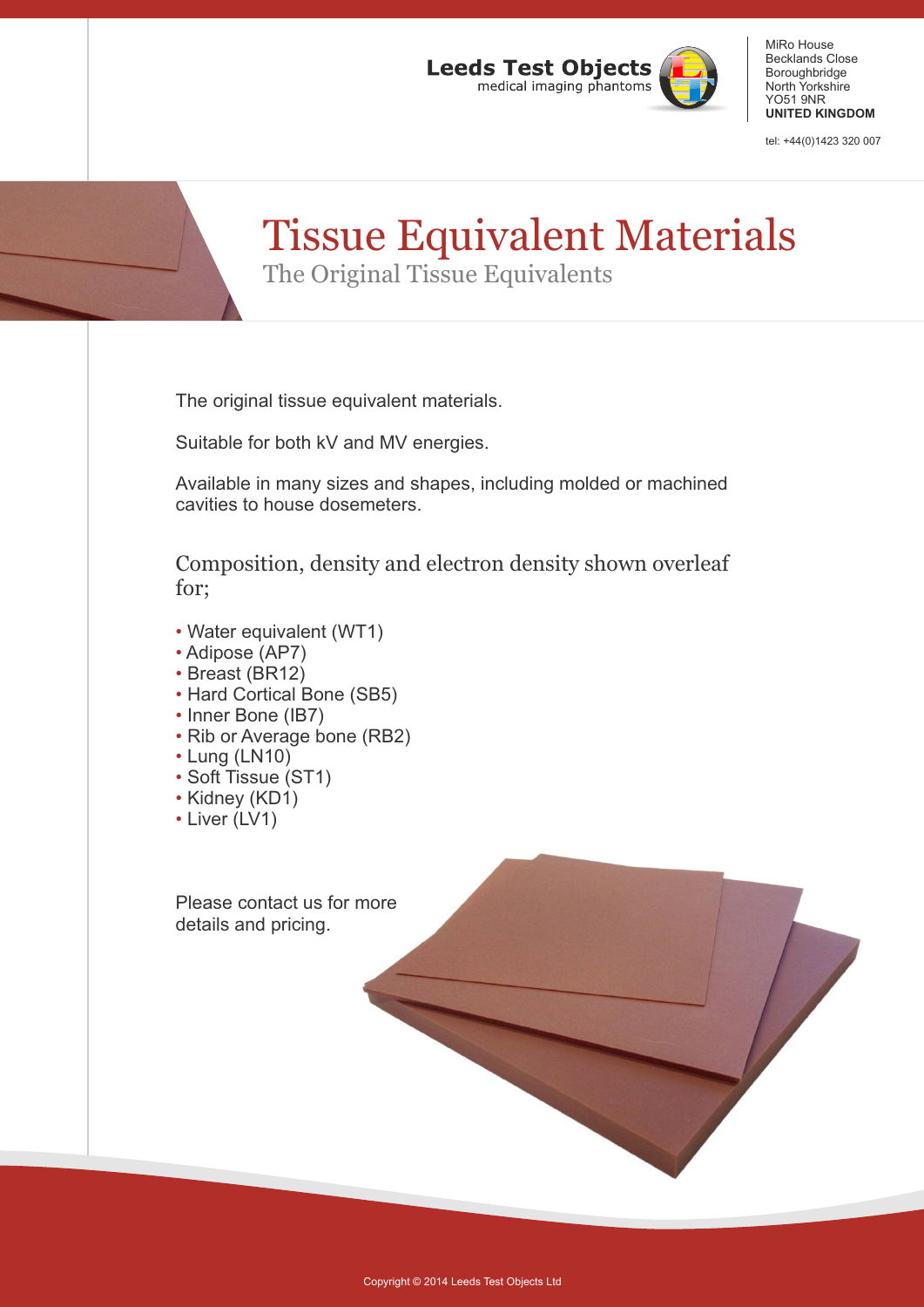

MiRo House Becklands Close Boroughbridge North Yorkshire YO51 9NR **UNITED KINGDOM**

tel: +44(0)1423 320 007

## Tissue Equivalent Materials The Original Tissue Equivalents

The original tissue equivalent materials.

Suitable for both kV and MV energies.

Available in many sizes and shapes, including molded or machined cavities to house dosemeters.

Composition, density and electron density shown overleaf for;

- Water equivalent (WT1)
- Adipose (AP7)
- Breast (BR12)
- Hard Cortical Bone (SB5)
- Inner Bone (IB7)
- Rib or Average bone (RB2)
- Lung (LN10)
- Soft Tissue (ST1)
- Kidney (KD1)
- Liver (LV1)

Please contact us for more details and pricing.